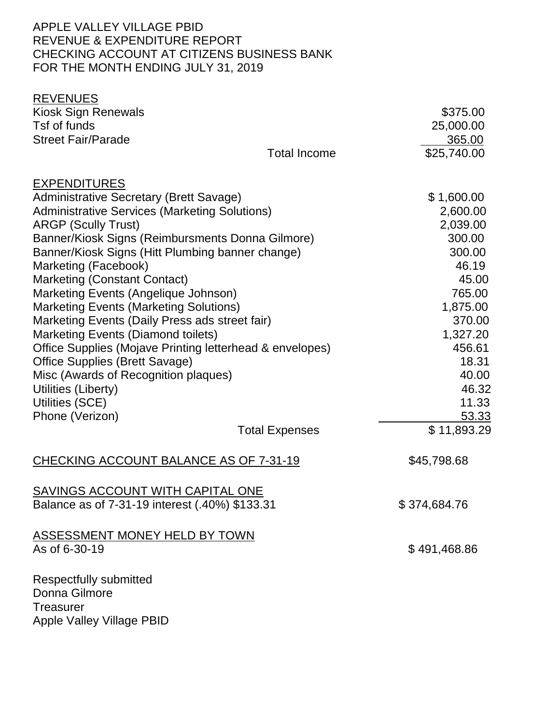# APPLE VALLEY VILLAGE PBID REVENUE & EXPENDITURE REPORT CHECKING ACCOUNT AT CITIZENS BUSINESS BANK FOR THE MONTH ENDING JULY 31, 2019

| <b>REVENUES</b>                                          |                       |              |
|----------------------------------------------------------|-----------------------|--------------|
| Kiosk Sign Renewals                                      |                       | \$375.00     |
| Tsf of funds                                             |                       | 25,000.00    |
| <b>Street Fair/Parade</b>                                |                       | 365.00       |
|                                                          | <b>Total Income</b>   | \$25,740.00  |
| <b>EXPENDITURES</b>                                      |                       |              |
| <b>Administrative Secretary (Brett Savage)</b>           |                       | \$1,600.00   |
| <b>Administrative Services (Marketing Solutions)</b>     |                       | 2,600.00     |
| <b>ARGP (Scully Trust)</b>                               |                       | 2,039.00     |
| Banner/Kiosk Signs (Reimbursments Donna Gilmore)         |                       | 300.00       |
| Banner/Kiosk Signs (Hitt Plumbing banner change)         |                       | 300.00       |
| Marketing (Facebook)                                     |                       | 46.19        |
| <b>Marketing (Constant Contact)</b>                      |                       | 45.00        |
| Marketing Events (Angelique Johnson)                     |                       | 765.00       |
| <b>Marketing Events (Marketing Solutions)</b>            |                       | 1,875.00     |
| Marketing Events (Daily Press ads street fair)           |                       | 370.00       |
| <b>Marketing Events (Diamond toilets)</b>                |                       | 1,327.20     |
| Office Supplies (Mojave Printing letterhead & envelopes) |                       | 456.61       |
| <b>Office Supplies (Brett Savage)</b>                    |                       | 18.31        |
| Misc (Awards of Recognition plaques)                     |                       | 40.00        |
| Utilities (Liberty)                                      |                       | 46.32        |
| Utilities (SCE)                                          |                       | 11.33        |
| Phone (Verizon)                                          |                       | 53.33        |
|                                                          | <b>Total Expenses</b> | \$11,893.29  |
| <b>CHECKING ACCOUNT BALANCE AS OF 7-31-19</b>            |                       | \$45,798.68  |
| SAVINGS ACCOUNT WITH CAPITAL ONE                         |                       |              |
| Balance as of 7-31-19 interest (.40%) \$133.31           |                       | \$374,684.76 |
| <b>ASSESSMENT MONEY HELD BY TOWN</b>                     |                       |              |
| As of 6-30-19                                            |                       | \$491,468.86 |
| <b>Respectfully submitted</b>                            |                       |              |
| Donna Gilmore                                            |                       |              |
| <b>Treasurer</b>                                         |                       |              |
| <b>Apple Valley Village PBID</b>                         |                       |              |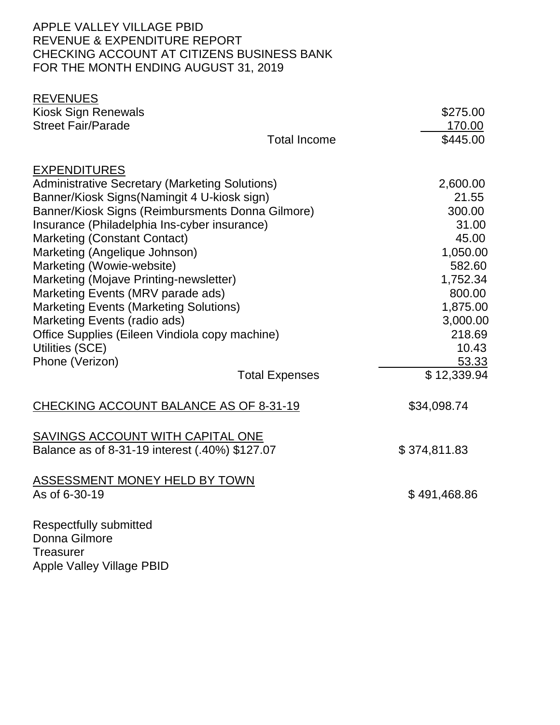# APPLE VALLEY VILLAGE PBID REVENUE & EXPENDITURE REPORT CHECKING ACCOUNT AT CITIZENS BUSINESS BANK FOR THE MONTH ENDING AUGUST 31, 2019

| <b>REVENUES</b>                                                   |                       |                    |
|-------------------------------------------------------------------|-----------------------|--------------------|
| <b>Kiosk Sign Renewals</b>                                        |                       | \$275.00           |
| <b>Street Fair/Parade</b>                                         |                       | 170.00             |
|                                                                   | <b>Total Income</b>   | \$445.00           |
| <b>EXPENDITURES</b>                                               |                       |                    |
| <b>Administrative Secretary (Marketing Solutions)</b>             |                       | 2,600.00           |
| Banner/Kiosk Signs(Namingit 4 U-kiosk sign)                       |                       | 21.55              |
| Banner/Kiosk Signs (Reimbursments Donna Gilmore)                  |                       | 300.00             |
| Insurance (Philadelphia Ins-cyber insurance)                      |                       | 31.00              |
| <b>Marketing (Constant Contact)</b>                               |                       | 45.00              |
| Marketing (Angelique Johnson)                                     |                       | 1,050.00           |
| Marketing (Wowie-website)                                         |                       | 582.60             |
| Marketing (Mojave Printing-newsletter)                            |                       | 1,752.34           |
| Marketing Events (MRV parade ads)                                 |                       | 800.00             |
| <b>Marketing Events (Marketing Solutions)</b>                     |                       | 1,875.00           |
| Marketing Events (radio ads)                                      |                       | 3,000.00<br>218.69 |
| Office Supplies (Eileen Vindiola copy machine)<br>Utilities (SCE) |                       | 10.43              |
| Phone (Verizon)                                                   |                       | 53.33              |
|                                                                   | <b>Total Expenses</b> | \$12,339.94        |
| CHECKING ACCOUNT BALANCE AS OF 8-31-19                            |                       | \$34,098.74        |
| SAVINGS ACCOUNT WITH CAPITAL ONE                                  |                       |                    |
| Balance as of 8-31-19 interest (.40%) \$127.07                    |                       | \$374,811.83       |
| <b>ASSESSMENT MONEY HELD BY TOWN</b><br>As of 6-30-19             |                       | \$491,468.86       |
| Respectfully submitted                                            |                       |                    |
| Donna Gilmore                                                     |                       |                    |
| <b>Treasurer</b>                                                  |                       |                    |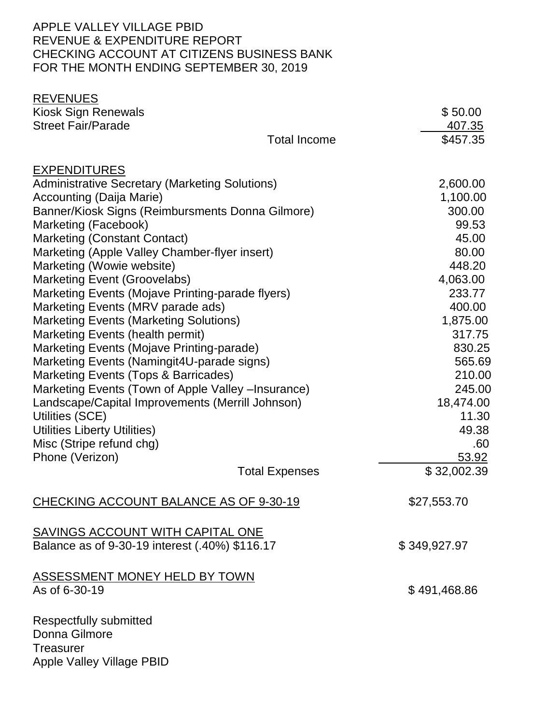# APPLE VALLEY VILLAGE PBID REVENUE & EXPENDITURE REPORT CHECKING ACCOUNT AT CITIZENS BUSINESS BANK FOR THE MONTH ENDING SEPTEMBER 30, 2019

| <b>REVENUES</b>                                       |                       |              |
|-------------------------------------------------------|-----------------------|--------------|
| <b>Kiosk Sign Renewals</b>                            |                       | \$50.00      |
| <b>Street Fair/Parade</b>                             |                       | 407.35       |
|                                                       | <b>Total Income</b>   | \$457.35     |
| <b>EXPENDITURES</b>                                   |                       |              |
| <b>Administrative Secretary (Marketing Solutions)</b> |                       | 2,600.00     |
| <b>Accounting (Daija Marie)</b>                       |                       | 1,100.00     |
| Banner/Kiosk Signs (Reimbursments Donna Gilmore)      |                       | 300.00       |
| Marketing (Facebook)                                  |                       | 99.53        |
| Marketing (Constant Contact)                          |                       | 45.00        |
| Marketing (Apple Valley Chamber-flyer insert)         |                       | 80.00        |
| Marketing (Wowie website)                             |                       | 448.20       |
| Marketing Event (Groovelabs)                          |                       | 4,063.00     |
| Marketing Events (Mojave Printing-parade flyers)      |                       | 233.77       |
| Marketing Events (MRV parade ads)                     |                       | 400.00       |
| <b>Marketing Events (Marketing Solutions)</b>         |                       | 1,875.00     |
| Marketing Events (health permit)                      |                       | 317.75       |
| Marketing Events (Mojave Printing-parade)             |                       | 830.25       |
| Marketing Events (Namingit4U-parade signs)            |                       | 565.69       |
| Marketing Events (Tops & Barricades)                  |                       | 210.00       |
| Marketing Events (Town of Apple Valley - Insurance)   |                       | 245.00       |
| Landscape/Capital Improvements (Merrill Johnson)      |                       | 18,474.00    |
| Utilities (SCE)                                       |                       | 11.30        |
| Utilities Liberty Utilities)                          |                       | 49.38        |
| Misc (Stripe refund chg)                              |                       | .60          |
| Phone (Verizon)                                       |                       | 53.92        |
|                                                       | <b>Total Expenses</b> | \$32,002.39  |
| CHECKING ACCOUNT BALANCE AS OF 9-30-19                |                       | \$27,553.70  |
| <b>SAVINGS ACCOUNT WITH CAPITAL ONE</b>               |                       |              |
| Balance as of 9-30-19 interest (.40%) \$116.17        |                       | \$349,927.97 |
| <b>ASSESSMENT MONEY HELD BY TOWN</b>                  |                       |              |
| As of 6-30-19                                         |                       | \$491,468.86 |
| <b>Respectfully submitted</b>                         |                       |              |
| Donna Gilmore                                         |                       |              |
| <b>Treasurer</b>                                      |                       |              |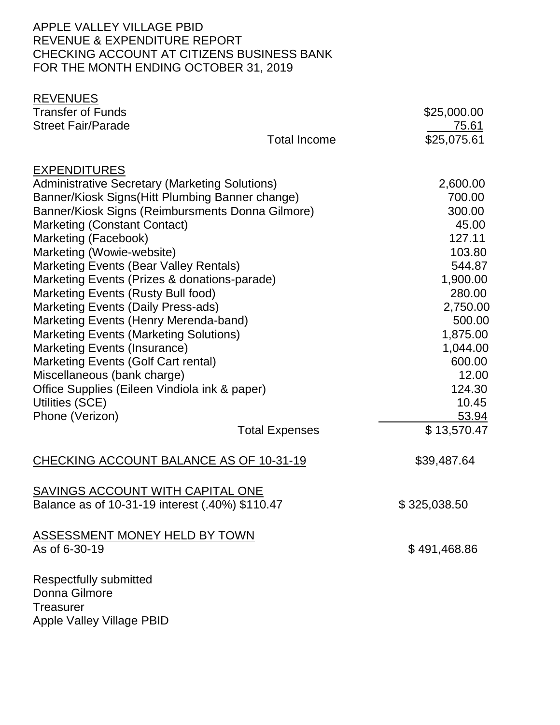# APPLE VALLEY VILLAGE PBID REVENUE & EXPENDITURE REPORT CHECKING ACCOUNT AT CITIZENS BUSINESS BANK FOR THE MONTH ENDING OCTOBER 31, 2019

| <b>REVENUES</b>                                       |                       |              |
|-------------------------------------------------------|-----------------------|--------------|
| <b>Transfer of Funds</b>                              |                       | \$25,000.00  |
| <b>Street Fair/Parade</b>                             |                       | 75.61        |
|                                                       | <b>Total Income</b>   | \$25,075.61  |
| <b>EXPENDITURES</b>                                   |                       |              |
| <b>Administrative Secretary (Marketing Solutions)</b> |                       | 2,600.00     |
| Banner/Kiosk Signs (Hitt Plumbing Banner change)      |                       | 700.00       |
| Banner/Kiosk Signs (Reimbursments Donna Gilmore)      |                       | 300.00       |
| <b>Marketing (Constant Contact)</b>                   |                       | 45.00        |
| Marketing (Facebook)                                  |                       | 127.11       |
| Marketing (Wowie-website)                             |                       | 103.80       |
| <b>Marketing Events (Bear Valley Rentals)</b>         |                       | 544.87       |
| Marketing Events (Prizes & donations-parade)          |                       | 1,900.00     |
| Marketing Events (Rusty Bull food)                    |                       | 280.00       |
| <b>Marketing Events (Daily Press-ads)</b>             |                       | 2,750.00     |
| Marketing Events (Henry Merenda-band)                 |                       | 500.00       |
| <b>Marketing Events (Marketing Solutions)</b>         |                       | 1,875.00     |
| Marketing Events (Insurance)                          |                       | 1,044.00     |
| Marketing Events (Golf Cart rental)                   |                       | 600.00       |
| Miscellaneous (bank charge)                           |                       | 12.00        |
| Office Supplies (Eileen Vindiola ink & paper)         |                       | 124.30       |
| Utilities (SCE)                                       |                       | 10.45        |
| Phone (Verizon)                                       |                       | 53.94        |
|                                                       | <b>Total Expenses</b> | \$13,570.47  |
| CHECKING ACCOUNT BALANCE AS OF 10-31-19               |                       | \$39,487.64  |
| <b>SAVINGS ACCOUNT WITH CAPITAL ONE</b>               |                       |              |
| Balance as of 10-31-19 interest (.40%) \$110.47       |                       | \$325,038.50 |
| <b>ASSESSMENT MONEY HELD BY TOWN</b>                  |                       |              |
| As of 6-30-19                                         |                       | \$491,468.86 |
| Respectfully submitted                                |                       |              |
| Donna Gilmore                                         |                       |              |
| <b>Treasurer</b>                                      |                       |              |
| <b>Apple Valley Village PBID</b>                      |                       |              |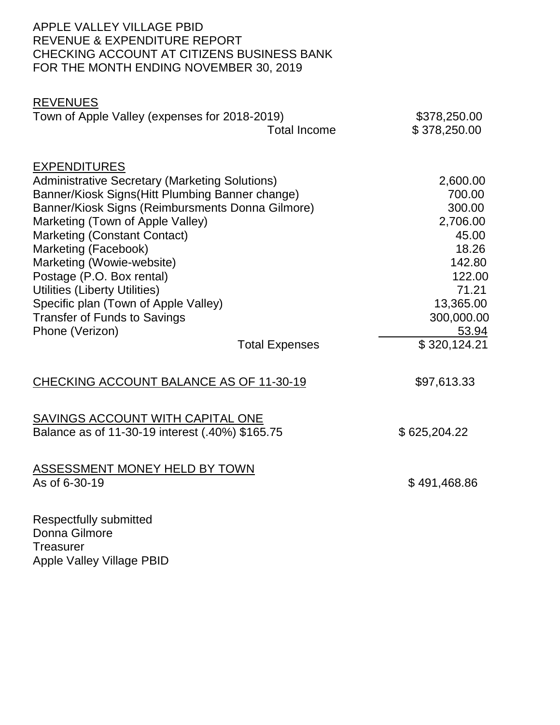# APPLE VALLEY VILLAGE PBID REVENUE & EXPENDITURE REPORT CHECKING ACCOUNT AT CITIZENS BUSINESS BANK FOR THE MONTH ENDING NOVEMBER 30, 2019

| <b>REVENUES</b><br>Town of Apple Valley (expenses for 2018-2019)                                                                                                                                                                                                                                                                                                                                                                                                                    | <b>Total Income</b>   | \$378,250.00<br>\$378,250.00                                                                                                                |
|-------------------------------------------------------------------------------------------------------------------------------------------------------------------------------------------------------------------------------------------------------------------------------------------------------------------------------------------------------------------------------------------------------------------------------------------------------------------------------------|-----------------------|---------------------------------------------------------------------------------------------------------------------------------------------|
| <b>EXPENDITURES</b><br><b>Administrative Secretary (Marketing Solutions)</b><br>Banner/Kiosk Signs(Hitt Plumbing Banner change)<br>Banner/Kiosk Signs (Reimbursments Donna Gilmore)<br>Marketing (Town of Apple Valley)<br><b>Marketing (Constant Contact)</b><br>Marketing (Facebook)<br>Marketing (Wowie-website)<br>Postage (P.O. Box rental)<br>Utilities (Liberty Utilities)<br>Specific plan (Town of Apple Valley)<br><b>Transfer of Funds to Savings</b><br>Phone (Verizon) | <b>Total Expenses</b> | 2,600.00<br>700.00<br>300.00<br>2,706.00<br>45.00<br>18.26<br>142.80<br>122.00<br>71.21<br>13,365.00<br>300,000.00<br>53.94<br>\$320,124.21 |
| CHECKING ACCOUNT BALANCE AS OF 11-30-19                                                                                                                                                                                                                                                                                                                                                                                                                                             |                       | \$97,613.33                                                                                                                                 |
| <b>SAVINGS ACCOUNT WITH CAPITAL ONE</b><br>Balance as of 11-30-19 interest (.40%) \$165.75                                                                                                                                                                                                                                                                                                                                                                                          |                       | \$625,204.22                                                                                                                                |
| ASSESSMENT MONEY HELD BY TOWN<br>As of 6-30-19                                                                                                                                                                                                                                                                                                                                                                                                                                      |                       | \$491,468.86                                                                                                                                |
| <b>Respectfully submitted</b>                                                                                                                                                                                                                                                                                                                                                                                                                                                       |                       |                                                                                                                                             |

Donna Gilmore **Treasurer** Apple Valley Village PBID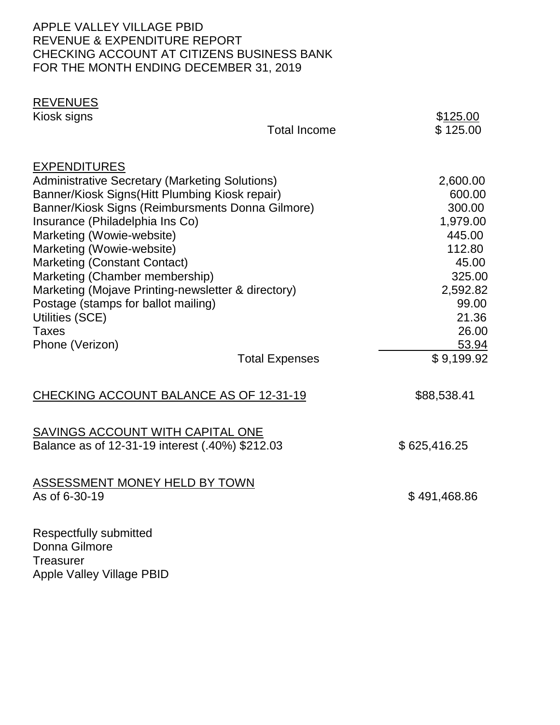# APPLE VALLEY VILLAGE PBID REVENUE & EXPENDITURE REPORT CHECKING ACCOUNT AT CITIZENS BUSINESS BANK FOR THE MONTH ENDING DECEMBER 31, 2019

| <b>REVENUES</b><br>Kiosk signs                                                                                                                                                                                                                                                                                                                                                                                                                                                                               | <b>Total Income</b>   | \$125.00<br>\$125.00                                                                                                                          |
|--------------------------------------------------------------------------------------------------------------------------------------------------------------------------------------------------------------------------------------------------------------------------------------------------------------------------------------------------------------------------------------------------------------------------------------------------------------------------------------------------------------|-----------------------|-----------------------------------------------------------------------------------------------------------------------------------------------|
| <b>EXPENDITURES</b><br><b>Administrative Secretary (Marketing Solutions)</b><br>Banner/Kiosk Signs (Hitt Plumbing Kiosk repair)<br>Banner/Kiosk Signs (Reimbursments Donna Gilmore)<br>Insurance (Philadelphia Ins Co)<br>Marketing (Wowie-website)<br>Marketing (Wowie-website)<br><b>Marketing (Constant Contact)</b><br>Marketing (Chamber membership)<br>Marketing (Mojave Printing-newsletter & directory)<br>Postage (stamps for ballot mailing)<br>Utilities (SCE)<br><b>Taxes</b><br>Phone (Verizon) | <b>Total Expenses</b> | 2,600.00<br>600.00<br>300.00<br>1,979.00<br>445.00<br>112.80<br>45.00<br>325.00<br>2,592.82<br>99.00<br>21.36<br>26.00<br>53.94<br>\$9,199.92 |
| CHECKING ACCOUNT BALANCE AS OF 12-31-19                                                                                                                                                                                                                                                                                                                                                                                                                                                                      |                       | \$88,538.41                                                                                                                                   |
| SAVINGS ACCOUNT WITH CAPITAL ONE<br>Balance as of 12-31-19 interest (.40%) \$212.03                                                                                                                                                                                                                                                                                                                                                                                                                          |                       | \$625,416.25                                                                                                                                  |
| <b>ASSESSMENT MONEY HELD BY TOWN</b><br>As of 6-30-19                                                                                                                                                                                                                                                                                                                                                                                                                                                        |                       | \$491,468.86                                                                                                                                  |
| <b>Respectfully submitted</b><br>Donna Gilmore<br><b>Treasurer</b>                                                                                                                                                                                                                                                                                                                                                                                                                                           |                       |                                                                                                                                               |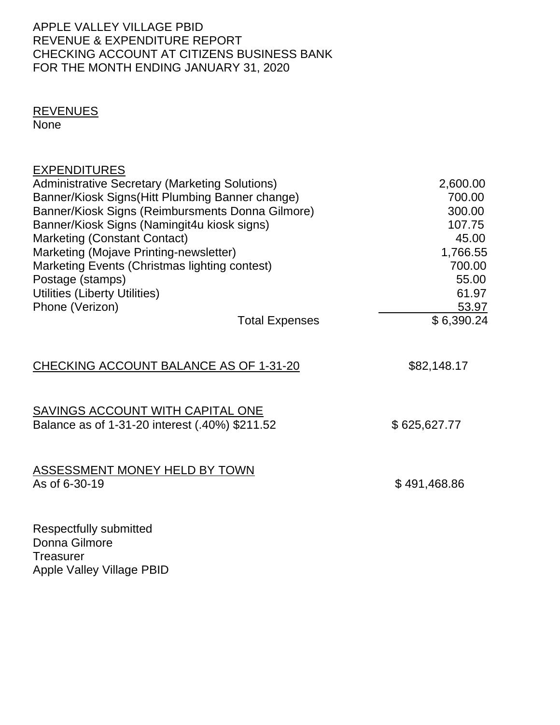# APPLE VALLEY VILLAGE PBID REVENUE & EXPENDITURE REPORT CHECKING ACCOUNT AT CITIZENS BUSINESS BANK FOR THE MONTH ENDING JANUARY 31, 2020

# REVENUES

None

| <b>EXPENDITURES</b>                                                                |              |
|------------------------------------------------------------------------------------|--------------|
| <b>Administrative Secretary (Marketing Solutions)</b>                              | 2,600.00     |
| Banner/Kiosk Signs (Hitt Plumbing Banner change)                                   | 700.00       |
| Banner/Kiosk Signs (Reimbursments Donna Gilmore)                                   | 300.00       |
| Banner/Kiosk Signs (Namingit4u kiosk signs)                                        | 107.75       |
| <b>Marketing (Constant Contact)</b>                                                | 45.00        |
| Marketing (Mojave Printing-newsletter)                                             | 1,766.55     |
| Marketing Events (Christmas lighting contest)                                      | 700.00       |
| Postage (stamps)                                                                   | 55.00        |
| Utilities (Liberty Utilities)                                                      | 61.97        |
| Phone (Verizon)                                                                    | 53.97        |
| <b>Total Expenses</b>                                                              | \$6,390.24   |
| CHECKING ACCOUNT BALANCE AS OF 1-31-20                                             | \$82,148.17  |
| SAVINGS ACCOUNT WITH CAPITAL ONE<br>Balance as of 1-31-20 interest (.40%) \$211.52 | \$625,627.77 |
|                                                                                    |              |
| ASSESSMENT MONEY HELD BY TOWN<br>As of 6-30-19                                     | \$491,468.86 |
| Respectfully submitted<br>$\mathsf{D}$ $\mathsf{D}$ l                              |              |

Donna Gilmore **Treasurer**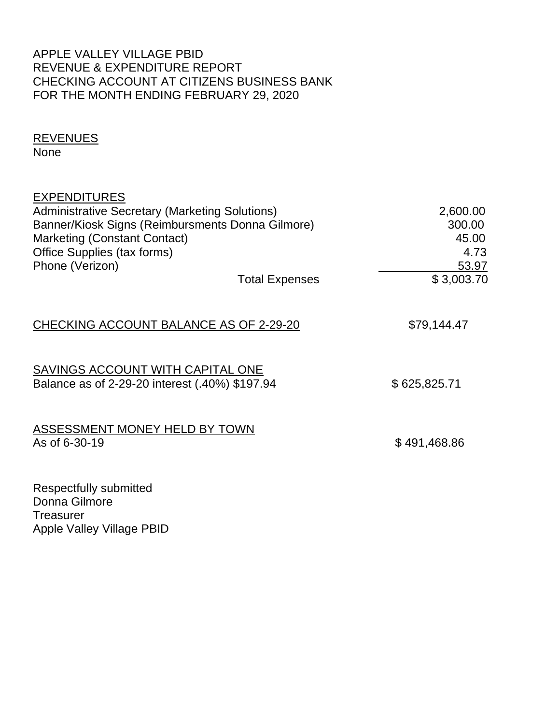# APPLE VALLEY VILLAGE PBID REVENUE & EXPENDITURE REPORT CHECKING ACCOUNT AT CITIZENS BUSINESS BANK FOR THE MONTH ENDING FEBRUARY 29, 2020

# REVENUES

None

| <b>EXPENDITURES</b>                                   |                       |              |
|-------------------------------------------------------|-----------------------|--------------|
| <b>Administrative Secretary (Marketing Solutions)</b> |                       | 2,600.00     |
| Banner/Kiosk Signs (Reimbursments Donna Gilmore)      |                       | 300.00       |
| <b>Marketing (Constant Contact)</b>                   |                       | 45.00        |
| Office Supplies (tax forms)                           |                       | 4.73         |
| Phone (Verizon)                                       |                       | 53.97        |
|                                                       | <b>Total Expenses</b> | \$3,003.70   |
|                                                       |                       |              |
| CHECKING ACCOUNT BALANCE AS OF 2-29-20                |                       | \$79,144.47  |
|                                                       |                       |              |
| SAVINGS ACCOUNT WITH CAPITAL ONE                      |                       |              |
| Balance as of 2-29-20 interest (.40%) \$197.94        |                       | \$625,825.71 |
|                                                       |                       |              |
| ASSESSMENT MONEY HELD BY TOWN                         |                       |              |
| As of 6-30-19                                         |                       | \$491,468.86 |
|                                                       |                       |              |
| Respectfully submitted                                |                       |              |
| Donna Gilmore                                         |                       |              |
| <b>T.AAAA.</b>                                        |                       |              |

Treasurer Apple Valley Village PBID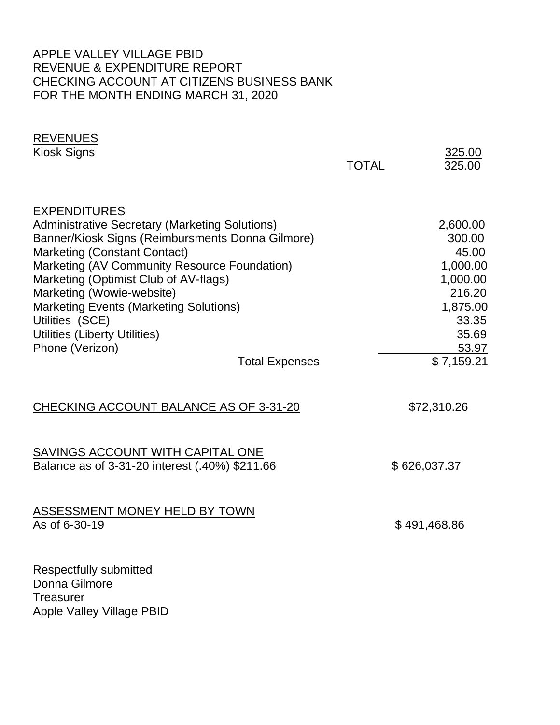# APPLE VALLEY VILLAGE PBID REVENUE & EXPENDITURE REPORT CHECKING ACCOUNT AT CITIZENS BUSINESS BANK FOR THE MONTH ENDING MARCH 31, 2020

| <b>REVENUES</b><br>Kiosk Signs                                                                                                                                                                                                                                                                                                                                                                                                                 | <b>TOTAL</b> | 325.00<br>325.00                                                                                                   |
|------------------------------------------------------------------------------------------------------------------------------------------------------------------------------------------------------------------------------------------------------------------------------------------------------------------------------------------------------------------------------------------------------------------------------------------------|--------------|--------------------------------------------------------------------------------------------------------------------|
| <b>EXPENDITURES</b><br><b>Administrative Secretary (Marketing Solutions)</b><br>Banner/Kiosk Signs (Reimbursments Donna Gilmore)<br><b>Marketing (Constant Contact)</b><br>Marketing (AV Community Resource Foundation)<br>Marketing (Optimist Club of AV-flags)<br>Marketing (Wowie-website)<br><b>Marketing Events (Marketing Solutions)</b><br>Utilities (SCE)<br>Utilities (Liberty Utilities)<br>Phone (Verizon)<br><b>Total Expenses</b> |              | 2,600.00<br>300.00<br>45.00<br>1,000.00<br>1,000.00<br>216.20<br>1,875.00<br>33.35<br>35.69<br>53.97<br>\$7,159.21 |
| CHECKING ACCOUNT BALANCE AS OF 3-31-20                                                                                                                                                                                                                                                                                                                                                                                                         |              | \$72,310.26                                                                                                        |
| SAVINGS ACCOUNT WITH CAPITAL ONE<br>Balance as of 3-31-20 interest (.40%) \$211.66                                                                                                                                                                                                                                                                                                                                                             |              | \$626,037.37                                                                                                       |
| ASSESSMENT MONEY HELD BY TOWN<br>As of 6-30-19                                                                                                                                                                                                                                                                                                                                                                                                 |              | \$491,468.86                                                                                                       |
| <b>Respectfully submitted</b><br>Donna Gilmore<br><b>Treasurer</b><br><b>Apple Valley Village PBID</b>                                                                                                                                                                                                                                                                                                                                         |              |                                                                                                                    |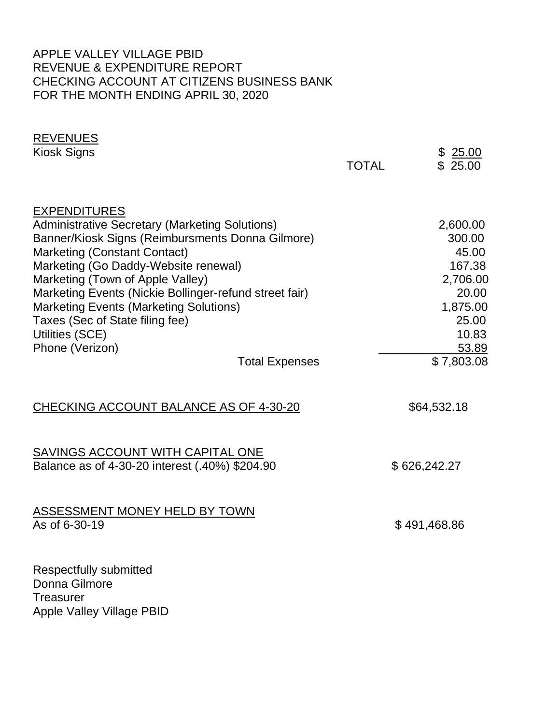# APPLE VALLEY VILLAGE PBID REVENUE & EXPENDITURE REPORT CHECKING ACCOUNT AT CITIZENS BUSINESS BANK FOR THE MONTH ENDING APRIL 30, 2020

| <b>REVENUES</b><br>Kiosk Signs                                                                                                                                                                                                                                                                                                                                                                                                                                   | <b>TOTAL</b> | \$25.00<br>\$25.00                                                                                              |
|------------------------------------------------------------------------------------------------------------------------------------------------------------------------------------------------------------------------------------------------------------------------------------------------------------------------------------------------------------------------------------------------------------------------------------------------------------------|--------------|-----------------------------------------------------------------------------------------------------------------|
| <b>EXPENDITURES</b><br><b>Administrative Secretary (Marketing Solutions)</b><br>Banner/Kiosk Signs (Reimbursments Donna Gilmore)<br><b>Marketing (Constant Contact)</b><br>Marketing (Go Daddy-Website renewal)<br>Marketing (Town of Apple Valley)<br>Marketing Events (Nickie Bollinger-refund street fair)<br><b>Marketing Events (Marketing Solutions)</b><br>Taxes (Sec of State filing fee)<br>Utilities (SCE)<br>Phone (Verizon)<br><b>Total Expenses</b> |              | 2,600.00<br>300.00<br>45.00<br>167.38<br>2,706.00<br>20.00<br>1,875.00<br>25.00<br>10.83<br>53.89<br>\$7,803.08 |
| CHECKING ACCOUNT BALANCE AS OF 4-30-20                                                                                                                                                                                                                                                                                                                                                                                                                           |              | \$64,532.18                                                                                                     |
| SAVINGS ACCOUNT WITH CAPITAL ONE<br>Balance as of 4-30-20 interest (.40%) \$204.90                                                                                                                                                                                                                                                                                                                                                                               |              | \$626,242.27                                                                                                    |
| <b>ASSESSMENT MONEY HELD BY TOWN</b><br>As of 6-30-19                                                                                                                                                                                                                                                                                                                                                                                                            |              | \$491,468.86                                                                                                    |
| Respectfully submitted<br>Donna Gilmore<br><b>Treasurer</b><br><b>Apple Valley Village PBID</b>                                                                                                                                                                                                                                                                                                                                                                  |              |                                                                                                                 |